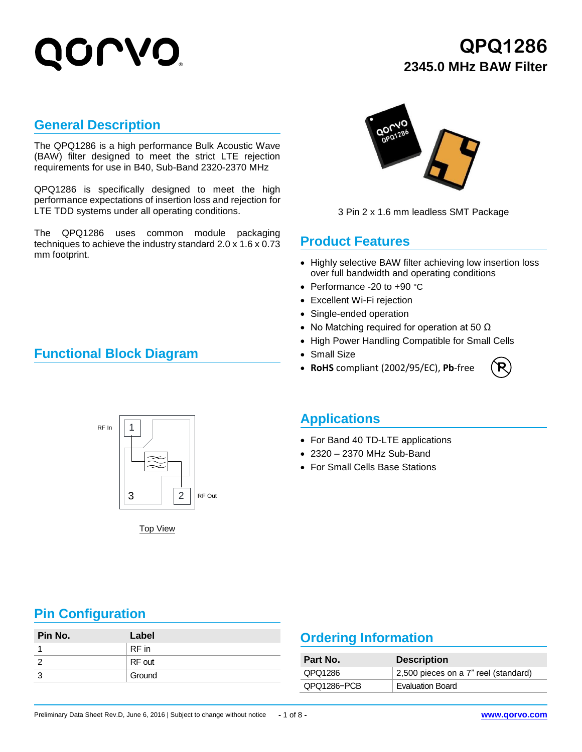## **QPQ1286 2345.0 MHz BAW Filter**

#### **General Description**

The QPQ1286 is a high performance Bulk Acoustic Wave (BAW) filter designed to meet the strict LTE rejection requirements for use in B40, Sub-Band 2320-2370 MHz

QPQ1286 is specifically designed to meet the high performance expectations of insertion loss and rejection for LTE TDD systems under all operating conditions.

The QPQ1286 uses common module packaging techniques to achieve the industry standard 2.0 x 1.6 x 0.73 mm footprint.

### **Functional Block Diagram**



3 Pin 2 x 1.6 mm leadless SMT Package

### **Product Features**

- Highly selective BAW filter achieving low insertion loss over full bandwidth and operating conditions
- Performance -20 to +90 °C
- Excellent Wi-Fi rejection
- Single-ended operation
- No Matching required for operation at 50  $\Omega$
- High Power Handling Compatible for Small Cells
- Small Size
- **RoHS** compliant (2002/95/EC), **Pb**-free





Top View

#### **Applications**

- For Band 40 TD-LTE applications
- 2320 2370 MHz Sub-Band
- For Small Cells Base Stations

### **Pin Configuration**

| Pin No. | Label  |          | <b>Ordering Information</b> |  |  |
|---------|--------|----------|-----------------------------|--|--|
|         | RF in  |          |                             |  |  |
|         | RF out | Part No. | <b>Descri</b>               |  |  |
|         | Ground | QPQ1286  | 2,500 pi                    |  |  |
|         |        | 0.001000 | The seats and a             |  |  |

### **Ordering Information**

| Part No.    | <b>Description</b>                   |
|-------------|--------------------------------------|
| QPQ1286     | 2,500 pieces on a 7" reel (standard) |
| QPQ1286-PCB | <b>Evaluation Board</b>              |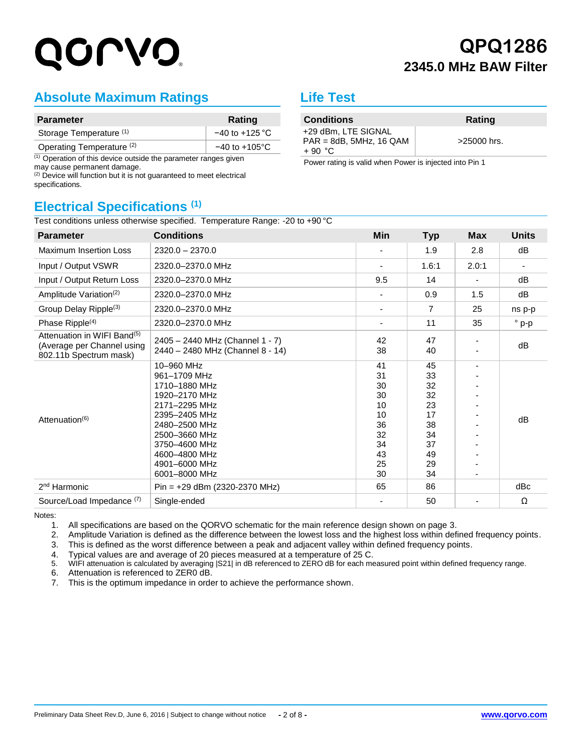# QOLVO'

## **QPQ1286 2345.0 MHz BAW Filter**

### **Absolute Maximum Ratings**

| <b>Parameter</b>                     | Rating                    |
|--------------------------------------|---------------------------|
| Storage Temperature (1)              | $-40$ to $+125$ °C        |
| Operating Temperature <sup>(2)</sup> | $-40$ to $+105^{\circ}$ C |

 $(1)$  Operation of this device outside the parameter ranges given may cause permanent damage.

 $(2)$  Device will function but it is not guaranteed to meet electrical specifications.

### **Electrical Specifications (1)**

#### +29 dBm, LTE SIGNAL PAR = 8dB, 5MHz, 16 QAM  $+ 90 °C$ >25000 hrs. Power rating is valid when Power is injected into Pin 1

**Conditions Rating** 

**Life Test**

| <b>Parameter</b>                                                                                | <b>Conditions</b>                                                                                                                                                                                    | Min                                                                  | <b>Typ</b>                                                           | <b>Max</b> | <b>Units</b>             |
|-------------------------------------------------------------------------------------------------|------------------------------------------------------------------------------------------------------------------------------------------------------------------------------------------------------|----------------------------------------------------------------------|----------------------------------------------------------------------|------------|--------------------------|
| <b>Maximum Insertion Loss</b>                                                                   | $2320.0 - 2370.0$                                                                                                                                                                                    |                                                                      | 1.9                                                                  | 2.8        | dB                       |
| Input / Output VSWR                                                                             | 2320.0-2370.0 MHz                                                                                                                                                                                    |                                                                      | 1.6:1                                                                | 2.0:1      | $\overline{\phantom{a}}$ |
| Input / Output Return Loss                                                                      | 2320.0-2370.0 MHz                                                                                                                                                                                    | 9.5                                                                  | 14                                                                   |            | dB                       |
| Amplitude Variation <sup>(2)</sup>                                                              | 2320.0-2370.0 MHz                                                                                                                                                                                    |                                                                      | 0.9                                                                  | 1.5        | dB                       |
| Group Delay Ripple <sup>(3)</sup>                                                               | 2320.0-2370.0 MHz                                                                                                                                                                                    | ٠                                                                    | 7                                                                    | 25         | ns p-p                   |
| Phase Ripple <sup>(4)</sup>                                                                     | 2320.0-2370.0 MHz                                                                                                                                                                                    |                                                                      | 11                                                                   | 35         | $^{\circ}$ p-p           |
| Attenuation in WIFI Band <sup>(5)</sup><br>(Average per Channel using<br>802.11b Spectrum mask) | 2405 - 2440 MHz (Channel 1 - 7)<br>2440 - 2480 MHz (Channel 8 - 14)                                                                                                                                  | 42<br>38                                                             | 47<br>40                                                             |            | dB                       |
| Attenuation <sup>(6)</sup>                                                                      | 10-960 MHz<br>961-1709 MHz<br>1710-1880 MHz<br>1920-2170 MHz<br>2171-2295 MHz<br>2395-2405 MHz<br>2480-2500 MHz<br>2500-3660 MHz<br>3750-4600 MHz<br>4600-4800 MHz<br>4901-6000 MHz<br>6001-8000 MHz | 41<br>31<br>30<br>30<br>10<br>10<br>36<br>32<br>34<br>43<br>25<br>30 | 45<br>33<br>32<br>32<br>23<br>17<br>38<br>34<br>37<br>49<br>29<br>34 |            | dB                       |
| 2 <sup>nd</sup> Harmonic                                                                        | $Pin = +29$ dBm (2320-2370 MHz)                                                                                                                                                                      | 65                                                                   | 86                                                                   |            | dBc                      |
| Source/Load Impedance (7)                                                                       | Single-ended                                                                                                                                                                                         |                                                                      | 50                                                                   |            | Ω                        |

Notes:

1. All specifications are based on the QORVO schematic for the main reference design shown on page 3.

2. Amplitude Variation is defined as the difference between the lowest loss and the highest loss within defined frequency points.

3. This is defined as the worst difference between a peak and adjacent valley within defined frequency points.

4. Typical values are and average of 20 pieces measured at a temperature of 25 C.<br>5. WIFI attenuation is calculated by averaging S21| in dB referenced to ZERO dB for each me

5. WIFI attenuation is calculated by averaging |S21| in dB referenced to ZERO dB for each measured point within defined frequency range.

6. Attenuation is referenced to ZER0 dB.

7. This is the optimum impedance in order to achieve the performance shown.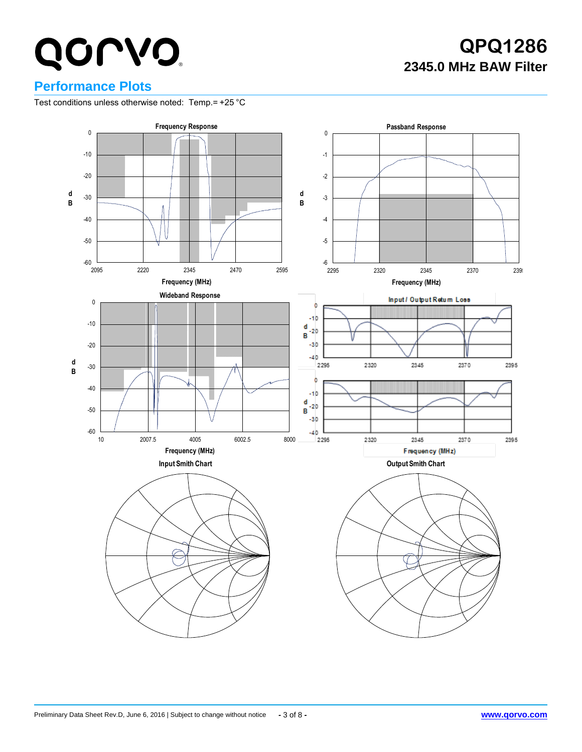## **QPQ1286 2345.0 MHz BAW Filter**

### **Performance Plots**

Test conditions unless otherwise noted: Temp.= +25 °C

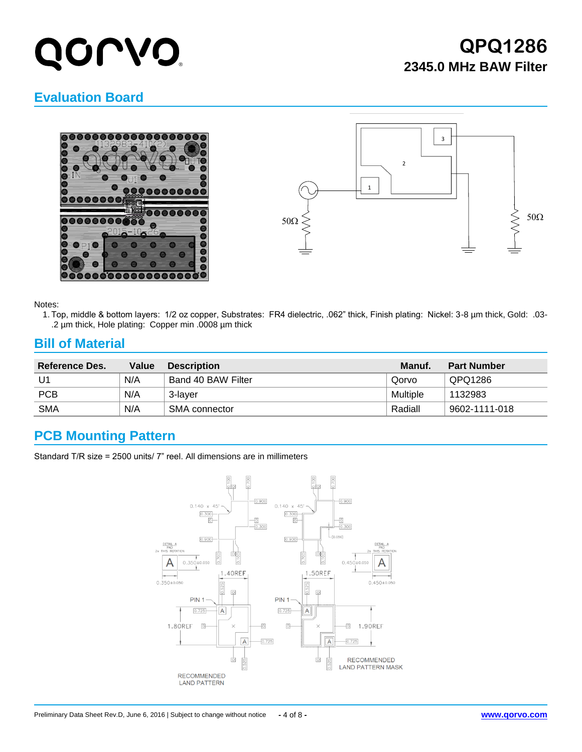# QOL V.O

## **QPQ1286 2345.0 MHz BAW Filter**

### **Evaluation Board**





#### Notes:

1. Top, middle & bottom layers: 1/2 oz copper, Substrates: FR4 dielectric, .062" thick, Finish plating: Nickel: 3-8 µm thick, Gold: .03- .2 µm thick, Hole plating: Copper min .0008 µm thick

#### **Bill of Material**

| Reference Des. | Value | <b>Description</b> | Manuf.   | <b>Part Number</b> |
|----------------|-------|--------------------|----------|--------------------|
| U1             | N/A   | Band 40 BAW Filter | Qorvo    | QPQ1286            |
| <b>PCB</b>     | N/A   | 3-laver            | Multiple | 1132983            |
| <b>SMA</b>     | N/A   | SMA connector      | Radiall  | 9602-1111-018      |

### **PCB Mounting Pattern**

Standard T/R size = 2500 units/ 7" reel. All dimensions are in millimeters

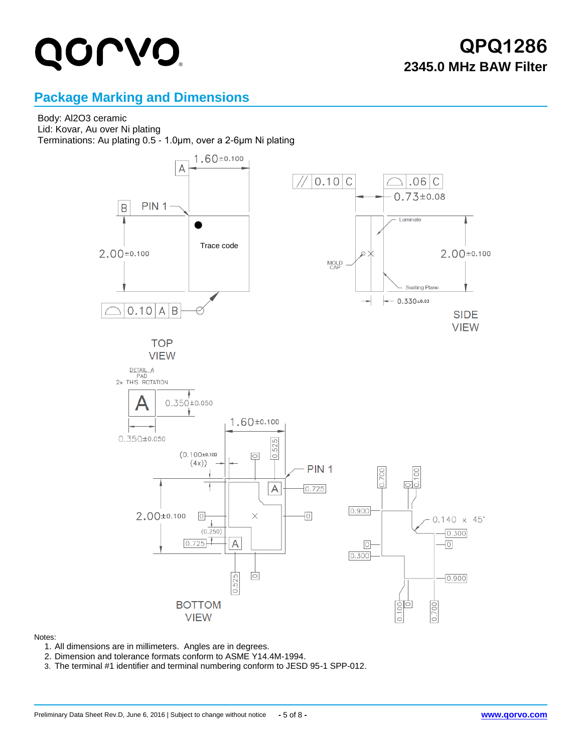## **QPQ1286 2345.0 MHz BAW Filter**

### **Package Marking and Dimensions**

### Body: Al2O3 ceramic

Lid: Kovar, Au over Ni plating Terminations: Au plating 0.5 - 1.0μm, over a 2-6μm Ni plating



#### Notes:

- 1. All dimensions are in millimeters. Angles are in degrees.
- 2. Dimension and tolerance formats conform to ASME Y14.4M-1994.
- 3. The terminal #1 identifier and terminal numbering conform to JESD 95-1 SPP-012.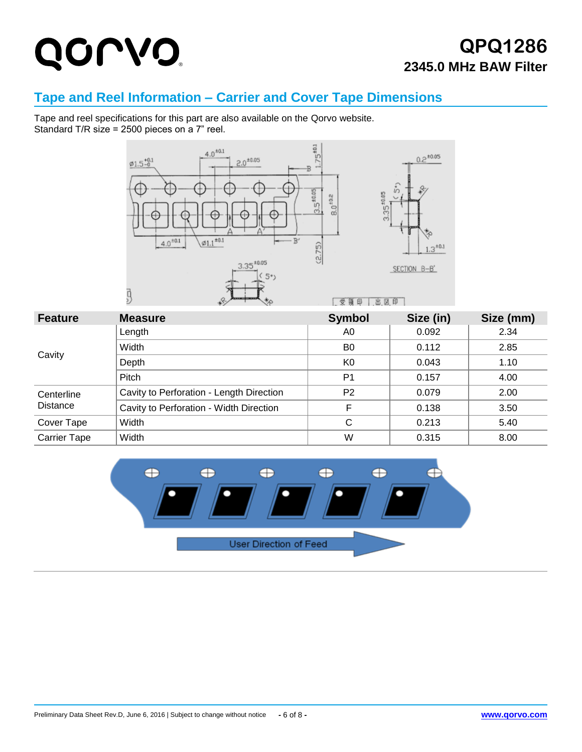### **QPQ1286 2345.0 MHz BAW Filter**

### **Tape and Reel Information – Carrier and Cover Tape Dimensions**

Tape and reel specifications for this part are also available on the Qorvo website. Standard T/R size = 2500 pieces on a 7" reel.



| <b>Feature</b>      | <b>Measure</b>                           | <b>Symbol</b>  | Size (in) | Size (mm) |
|---------------------|------------------------------------------|----------------|-----------|-----------|
|                     | Length                                   | A0             | 0.092     | 2.34      |
|                     | Width                                    | B <sub>0</sub> | 0.112     | 2.85      |
| Cavity              | Depth                                    | K <sub>0</sub> | 0.043     | 1.10      |
|                     | Pitch                                    | P <sub>1</sub> | 0.157     | 4.00      |
| Centerline          | Cavity to Perforation - Length Direction | P <sub>2</sub> | 0.079     | 2.00      |
| <b>Distance</b>     | Cavity to Perforation - Width Direction  | F              | 0.138     | 3.50      |
| Cover Tape          | Width                                    | С              | 0.213     | 5.40      |
| <b>Carrier Tape</b> | Width                                    | W              | 0.315     | 8.00      |

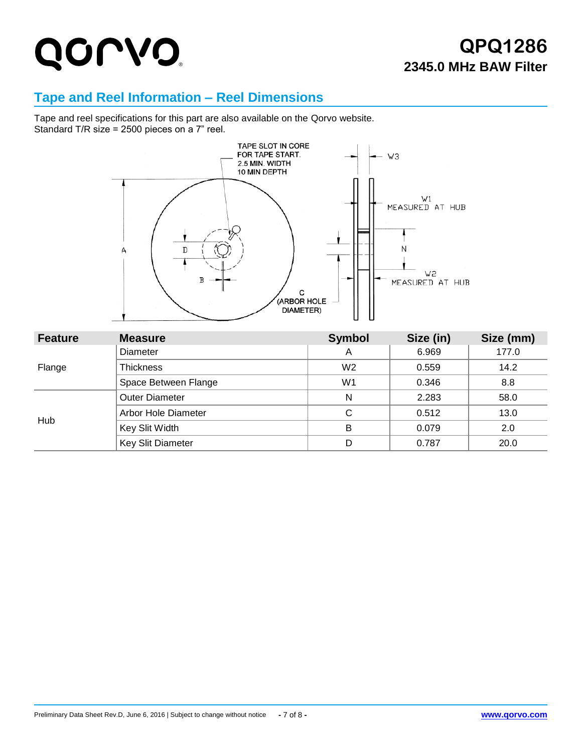## **QPQ1286 2345.0 MHz BAW Filter**

### **Tape and Reel Information – Reel Dimensions**

Tape and reel specifications for this part are also available on the Qorvo website. Standard T/R size = 2500 pieces on a 7" reel.



| <b>Feature</b> | <b>Measure</b>        | <b>Symbol</b>  | Size (in) | Size (mm) |
|----------------|-----------------------|----------------|-----------|-----------|
|                | Diameter              | A              | 6.969     | 177.0     |
| Flange         | <b>Thickness</b>      | W <sub>2</sub> | 0.559     | 14.2      |
|                | Space Between Flange  | W <sub>1</sub> | 0.346     | 8.8       |
| Hub            | <b>Outer Diameter</b> | N              | 2.283     | 58.0      |
|                | Arbor Hole Diameter   | C              | 0.512     | 13.0      |
|                | Key Slit Width        | B              | 0.079     | 2.0       |
|                | Key Slit Diameter     | D              | 0.787     | 20.0      |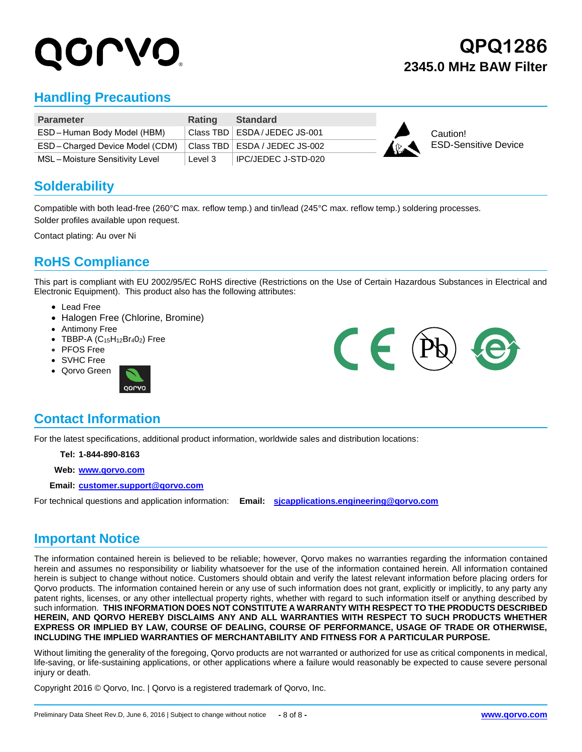# UL VO

## **QPQ1286 2345.0 MHz BAW Filter**

### **Handling Precautions**

| <b>Parameter</b>               | <b>Rating</b> | Standard                        |             |                             |
|--------------------------------|---------------|---------------------------------|-------------|-----------------------------|
| ESD-Human Body Model (HBM)     |               | Class TBD   ESDA / JEDEC JS-001 |             | Caution!                    |
| ESD-Charged Device Model (CDM) |               | Class TBD   ESDA / JEDEC JS-002 | $\triangle$ | <b>ESD-Sensitive Device</b> |
| MSL-Moisture Sensitivity Level | Level 3       | I IPC/JEDEC J-STD-020           |             |                             |

#### **Solderability**

Compatible with both lead-free (260°C max. reflow temp.) and tin/lead (245°C max. reflow temp.) soldering processes. Solder profiles available upon request.

Contact plating: Au over Ni

### **RoHS Compliance**

This part is compliant with EU 2002/95/EC RoHS directive (Restrictions on the Use of Certain Hazardous Substances in Electrical and Electronic Equipment). This product also has the following attributes:

- Lead Free
- Halogen Free (Chlorine, Bromine)
- Antimony Free
- $\bullet$  TBBP-A (C<sub>15</sub>H<sub>12</sub>Br<sub>4</sub>0<sub>2</sub>) Free
- PFOS Free
- SVHC Free
- Qorvo Green





### **Contact Information**

For the latest specifications, additional product information, worldwide sales and distribution locations:

**Tel: 1-844-890-8163**

**Web: [www.qorvo.com](http://www.qorvo.com/)**

**Email: [customer.support@qorvo.com](mailto:customer.support@qorvo.com)**

For technical questions and application information: **Email: [sjcapplications.engineering@qorvo.com](mailto:sjcapplications.engineering@qorvo.com)**

#### **Important Notice**

The information contained herein is believed to be reliable; however, Qorvo makes no warranties regarding the information contained herein and assumes no responsibility or liability whatsoever for the use of the information contained herein. All information contained herein is subject to change without notice. Customers should obtain and verify the latest relevant information before placing orders for Qorvo products. The information contained herein or any use of such information does not grant, explicitly or implicitly, to any party any patent rights, licenses, or any other intellectual property rights, whether with regard to such information itself or anything described by such information. **THIS INFORMATION DOES NOT CONSTITUTE A WARRANTY WITH RESPECT TO THE PRODUCTS DESCRIBED HEREIN, AND QORVO HEREBY DISCLAIMS ANY AND ALL WARRANTIES WITH RESPECT TO SUCH PRODUCTS WHETHER EXPRESS OR IMPLIED BY LAW, COURSE OF DEALING, COURSE OF PERFORMANCE, USAGE OF TRADE OR OTHERWISE, INCLUDING THE IMPLIED WARRANTIES OF MERCHANTABILITY AND FITNESS FOR A PARTICULAR PURPOSE.**

Without limiting the generality of the foregoing, Qorvo products are not warranted or authorized for use as critical components in medical, life-saving, or life-sustaining applications, or other applications where a failure would reasonably be expected to cause severe personal injury or death.

Copyright 2016 © Qorvo, Inc. | Qorvo is a registered trademark of Qorvo, Inc.